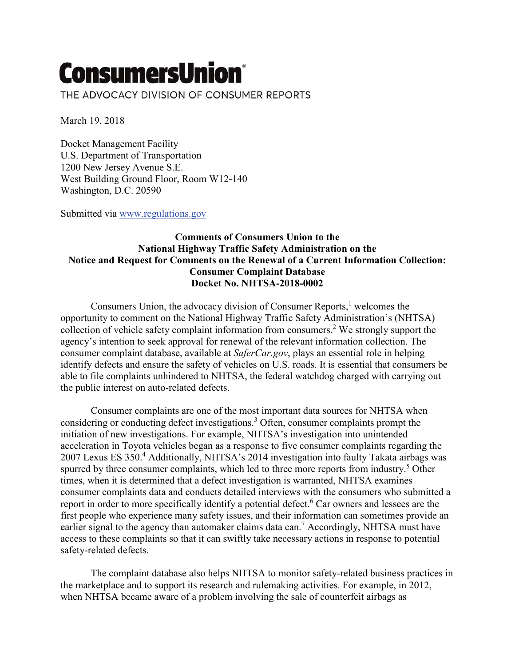## **ConsumersUnion®**

THE ADVOCACY DIVISION OF CONSUMER REPORTS

March 19, 2018

Docket Management Facility U.S. Department of Transportation 1200 New Jersey Avenue S.E. West Building Ground Floor, Room W12-140 Washington, D.C. 20590

Submitted via [www.regulations.gov](http://www.regulations.gov/)

## **Comments of Consumers Union to the National Highway Traffic Safety Administration on the Notice and Request for Comments on the Renewal of a Current Information Collection: Consumer Complaint Database Docket No. NHTSA-2018-0002**

Consumers Union, the advocacy division of Consumer Reports, $<sup>1</sup>$  welcomes the</sup> opportunity to comment on the National Highway Traffic Safety Administration's (NHTSA) collection of vehicle safety complaint information from consumers.2 We strongly support the agency's intention to seek approval for renewal of the relevant information collection. The consumer complaint database, available at *SaferCar.gov*, plays an essential role in helping identify defects and ensure the safety of vehicles on U.S. roads. It is essential that consumers be able to file complaints unhindered to NHTSA, the federal watchdog charged with carrying out the public interest on auto-related defects.

Consumer complaints are one of the most important data sources for NHTSA when considering or conducting defect investigations.3 Often, consumer complaints prompt the initiation of new investigations. For example, NHTSA's investigation into unintended acceleration in Toyota vehicles began as a response to five consumer complaints regarding the 2007 Lexus ES 350.4 Additionally, NHTSA's 2014 investigation into faulty Takata airbags was spurred by three consumer complaints, which led to three more reports from industry.<sup>5</sup> Other times, when it is determined that a defect investigation is warranted, NHTSA examines consumer complaints data and conducts detailed interviews with the consumers who submitted a report in order to more specifically identify a potential defect.<sup>6</sup> Car owners and lessees are the first people who experience many safety issues, and their information can sometimes provide an earlier signal to the agency than automaker claims data can.<sup>7</sup> Accordingly, NHTSA must have access to these complaints so that it can swiftly take necessary actions in response to potential safety-related defects.

The complaint database also helps NHTSA to monitor safety-related business practices in the marketplace and to support its research and rulemaking activities. For example, in 2012, when NHTSA became aware of a problem involving the sale of counterfeit airbags as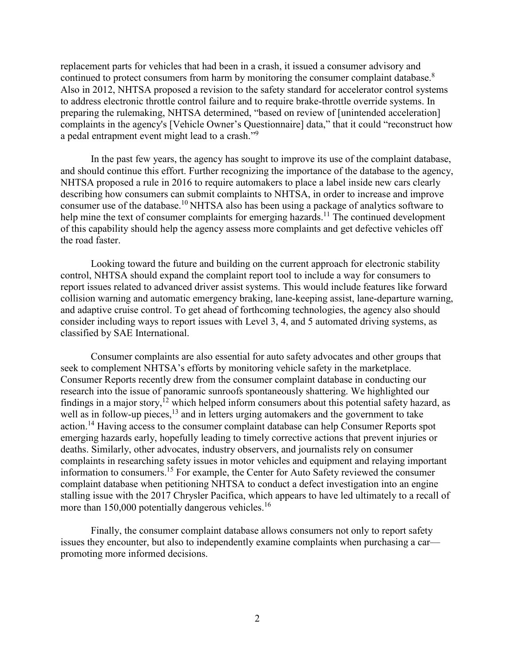replacement parts for vehicles that had been in a crash, it issued a consumer advisory and continued to protect consumers from harm by monitoring the consumer complaint database.<sup>8</sup> Also in 2012, NHTSA proposed a revision to the safety standard for accelerator control systems to address electronic throttle control failure and to require brake-throttle override systems. In preparing the rulemaking, NHTSA determined, "based on review of [unintended acceleration] complaints in the agency's [Vehicle Owner's Questionnaire] data," that it could "reconstruct how a pedal entrapment event might lead to a crash."9

In the past few years, the agency has sought to improve its use of the complaint database, and should continue this effort. Further recognizing the importance of the database to the agency, NHTSA proposed a rule in 2016 to require automakers to place a label inside new cars clearly describing how consumers can submit complaints to NHTSA, in order to increase and improve consumer use of the database.10 NHTSA also has been using a package of analytics software to help mine the text of consumer complaints for emerging hazards.<sup>11</sup> The continued development of this capability should help the agency assess more complaints and get defective vehicles off the road faster.

Looking toward the future and building on the current approach for electronic stability control, NHTSA should expand the complaint report tool to include a way for consumers to report issues related to advanced driver assist systems. This would include features like forward collision warning and automatic emergency braking, lane-keeping assist, lane-departure warning, and adaptive cruise control. To get ahead of forthcoming technologies, the agency also should consider including ways to report issues with Level 3, 4, and 5 automated driving systems, as classified by SAE International.

Consumer complaints are also essential for auto safety advocates and other groups that seek to complement NHTSA's efforts by monitoring vehicle safety in the marketplace. Consumer Reports recently drew from the consumer complaint database in conducting our research into the issue of panoramic sunroofs spontaneously shattering. We highlighted our findings in a major story,<sup>12</sup> which helped inform consumers about this potential safety hazard, as well as in follow-up pieces, $^{13}$  and in letters urging automakers and the government to take action.<sup>14</sup> Having access to the consumer complaint database can help Consumer Reports spot emerging hazards early, hopefully leading to timely corrective actions that prevent injuries or deaths. Similarly, other advocates, industry observers, and journalists rely on consumer complaints in researching safety issues in motor vehicles and equipment and relaying important information to consumers.15 For example, the Center for Auto Safety reviewed the consumer complaint database when petitioning NHTSA to conduct a defect investigation into an engine stalling issue with the 2017 Chrysler Pacifica, which appears to have led ultimately to a recall of more than  $150,000$  potentially dangerous vehicles.<sup>16</sup>

Finally, the consumer complaint database allows consumers not only to report safety issues they encounter, but also to independently examine complaints when purchasing a car promoting more informed decisions.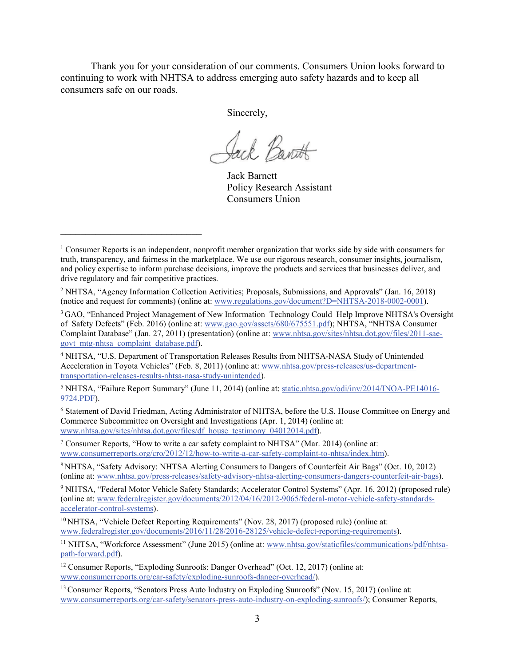Thank you for your consideration of our comments. Consumers Union looks forward to continuing to work with NHTSA to address emerging auto safety hazards and to keep all consumers safe on our roads.

Sincerely,

Jack Bant

Jack Barnett Policy Research Assistant Consumers Union

––––––––––––––––––––––––––––

<sup>4</sup> NHTSA, "U.S. Department of Transportation Releases Results from NHTSA-NASA Study of Unintended Acceleration in Toyota Vehicles" (Feb. 8, 2011) (online at: [www.nhtsa.gov/press-releases/us-department](https://www.nhtsa.gov/press-releases/us-department-transportation-releases-results-nhtsa-nasa-study-unintended)[transportation-releases-results-nhtsa-nasa-study-unintended\)](https://www.nhtsa.gov/press-releases/us-department-transportation-releases-results-nhtsa-nasa-study-unintended).

<sup>5</sup> NHTSA, "Failure Report Summary" (June 11, 2014) (online at: [static.nhtsa.gov/odi/inv/2014/INOA-PE14016-](https://static.nhtsa.gov/odi/inv/2014/INOA-PE14016-9724.PDF) [9724.PDF\)](https://static.nhtsa.gov/odi/inv/2014/INOA-PE14016-9724.PDF).

<sup>6</sup> Statement of David Friedman, Acting Administrator of NHTSA, before the U.S. House Committee on Energy and Commerce Subcommittee on Oversight and Investigations (Apr. 1, 2014) (online at: [www.nhtsa.gov/sites/nhtsa.dot.gov/files/df\\_house\\_testimony\\_04012014.pdf\)](http://www.nhtsa.gov/sites/nhtsa.dot.gov/files/df_house_testimony_04012014.pdf).

<sup>7</sup> Consumer Reports, "How to write a car safety complaint to NHTSA" (Mar. 2014) (online at: [www.consumerreports.org/cro/2012/12/how-to-write-a-car-safety-complaint-to-nhtsa/index.htm\)](https://www.consumerreports.org/cro/2012/12/how-to-write-a-car-safety-complaint-to-nhtsa/index.htm).

8 NHTSA, "Safety Advisory: NHTSA Alerting Consumers to Dangers of Counterfeit Air Bags" (Oct. 10, 2012) (online at: [www.nhtsa.gov/press-releases/safety-advisory-nhtsa-alerting-consumers-dangers-counterfeit-air-bags\)](https://www.nhtsa.gov/press-releases/safety-advisory-nhtsa-alerting-consumers-dangers-counterfeit-air-bags).

<sup>9</sup> NHTSA, "Federal Motor Vehicle Safety Standards; Accelerator Control Systems" (Apr. 16, 2012) (proposed rule) (online at: [www.federalregister.gov/documents/2012/04/16/2012-9065/federal-motor-vehicle-safety-standards](https://www.federalregister.gov/documents/2012/04/16/2012-9065/federal-motor-vehicle-safety-standards-accelerator-control-systems)[accelerator-control-systems\)](https://www.federalregister.gov/documents/2012/04/16/2012-9065/federal-motor-vehicle-safety-standards-accelerator-control-systems).

<sup>11</sup> NHTSA, "Workforce Assessment" (June 2015) (online at: [www.nhtsa.gov/staticfiles/communications/pdf/nhtsa](http://www.nhtsa.gov/staticfiles/communications/pdf/nhtsa-path-forward.pdf)[path-forward.pdf\)](http://www.nhtsa.gov/staticfiles/communications/pdf/nhtsa-path-forward.pdf).

<sup>12</sup> Consumer Reports, "Exploding Sunroofs: Danger Overhead" (Oct. 12, 2017) (online at: [www.consumerreports.org/car-safety/exploding-sunroofs-danger-overhead/\)](https://www.consumerreports.org/car-safety/exploding-sunroofs-danger-overhead/).

<sup>13</sup> Consumer Reports, "Senators Press Auto Industry on Exploding Sunroofs" (Nov. 15, 2017) (online at: [www.consumerreports.org/car-safety/senators-press-auto-industry-on-exploding-sunroofs/\)](https://www.consumerreports.org/car-safety/senators-press-auto-industry-on-exploding-sunroofs/); Consumer Reports,

<sup>&</sup>lt;sup>1</sup> Consumer Reports is an independent, nonprofit member organization that works side by side with consumers for truth, transparency, and fairness in the marketplace. We use our rigorous research, consumer insights, journalism, and policy expertise to inform purchase decisions, improve the products and services that businesses deliver, and drive regulatory and fair competitive practices.

<sup>2</sup> NHTSA, "Agency Information Collection Activities; Proposals, Submissions, and Approvals" (Jan. 16, 2018) (notice and request for comments) (online at: [www.regulations.gov/document?D=NHTSA-2018-0002-0001\)](https://www.regulations.gov/document?D=NHTSA-2018-0002-0001).

<sup>3</sup> GAO, "Enhanced Project Management of New Information Technology Could Help Improve NHTSA's Oversight of Safety Defects" (Feb. 2016) (online at: [www.gao.gov/assets/680/675551.pdf\)](https://www.gao.gov/assets/680/675551.pdf); NHTSA, "NHTSA Consumer Complaint Database" (Jan. 27, 2011) (presentation) (online at: [www.nhtsa.gov/sites/nhtsa.dot.gov/files/2011-sae](https://www.nhtsa.gov/sites/nhtsa.dot.gov/files/2011-sae-govt_mtg-nhtsa_complaint_database.pdf)[govt\\_mtg-nhtsa\\_complaint\\_database.pdf\)](https://www.nhtsa.gov/sites/nhtsa.dot.gov/files/2011-sae-govt_mtg-nhtsa_complaint_database.pdf).

<sup>&</sup>lt;sup>10</sup> NHTSA, "Vehicle Defect Reporting Requirements" (Nov. 28, 2017) (proposed rule) (online at: [www.federalregister.gov/documents/2016/11/28/2016-28125/vehicle-defect-reporting-requirements\)](http://www.federalregister.gov/documents/2016/11/28/2016-28125/vehicle-defect-reporting-requirements).